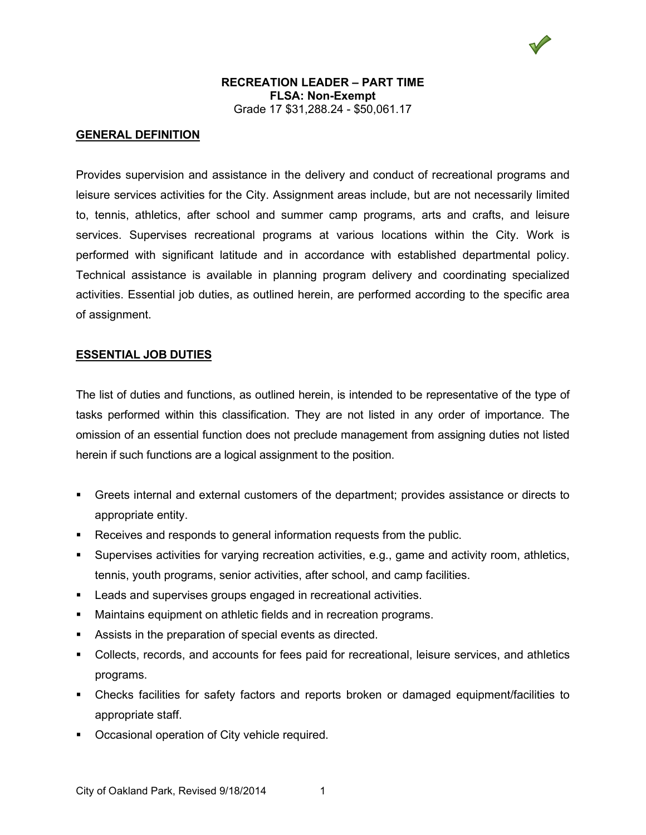

### **GENERAL DEFINITION**

Provides supervision and assistance in the delivery and conduct of recreational programs and leisure services activities for the City. Assignment areas include, but are not necessarily limited to, tennis, athletics, after school and summer camp programs, arts and crafts, and leisure services. Supervises recreational programs at various locations within the City. Work is performed with significant latitude and in accordance with established departmental policy. Technical assistance is available in planning program delivery and coordinating specialized activities. Essential job duties, as outlined herein, are performed according to the specific area of assignment.

#### **ESSENTIAL JOB DUTIES**

The list of duties and functions, as outlined herein, is intended to be representative of the type of tasks performed within this classification. They are not listed in any order of importance. The omission of an essential function does not preclude management from assigning duties not listed herein if such functions are a logical assignment to the position.

- Greets internal and external customers of the department; provides assistance or directs to appropriate entity.
- **Receives and responds to general information requests from the public.**
- Supervises activities for varying recreation activities, e.g., game and activity room, athletics, tennis, youth programs, senior activities, after school, and camp facilities.
- **Leads and supervises groups engaged in recreational activities.**
- Maintains equipment on athletic fields and in recreation programs.
- Assists in the preparation of special events as directed.
- Collects, records, and accounts for fees paid for recreational, leisure services, and athletics programs.
- Checks facilities for safety factors and reports broken or damaged equipment/facilities to appropriate staff.
- **Occasional operation of City vehicle required.**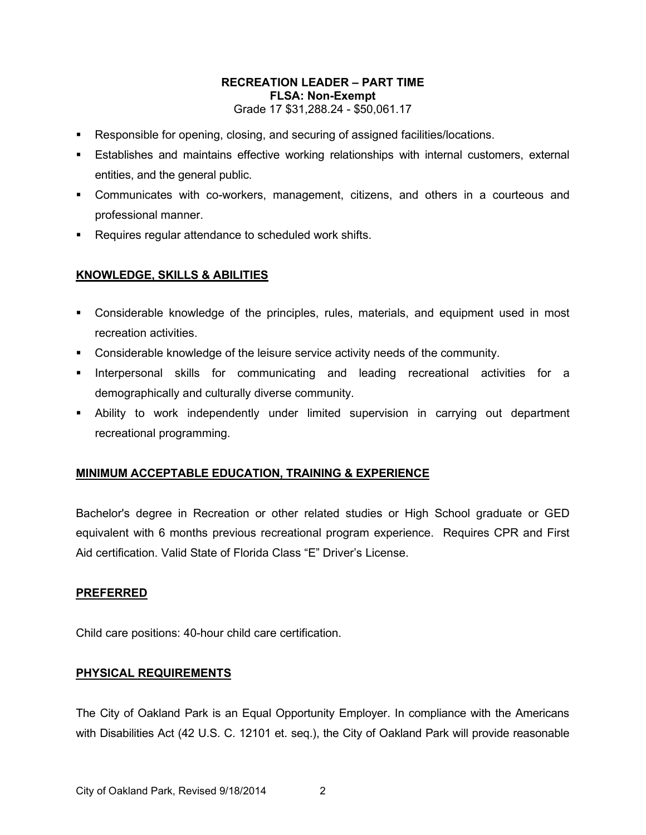- Responsible for opening, closing, and securing of assigned facilities/locations.
- Establishes and maintains effective working relationships with internal customers, external entities, and the general public.
- Communicates with co-workers, management, citizens, and others in a courteous and professional manner.
- **Requires regular attendance to scheduled work shifts.**

# **KNOWLEDGE, SKILLS & ABILITIES**

- Considerable knowledge of the principles, rules, materials, and equipment used in most recreation activities.
- Considerable knowledge of the leisure service activity needs of the community.
- **Interpersonal skills for communicating and leading recreational activities for a** demographically and culturally diverse community.
- Ability to work independently under limited supervision in carrying out department recreational programming.

# **MINIMUM ACCEPTABLE EDUCATION, TRAINING & EXPERIENCE**

Bachelor's degree in Recreation or other related studies or High School graduate or GED equivalent with 6 months previous recreational program experience. Requires CPR and First Aid certification. Valid State of Florida Class "E" Driver's License.

### **PREFERRED**

Child care positions: 40-hour child care certification.

### **PHYSICAL REQUIREMENTS**

The City of Oakland Park is an Equal Opportunity Employer. In compliance with the Americans with Disabilities Act (42 U.S. C. 12101 et. seq.), the City of Oakland Park will provide reasonable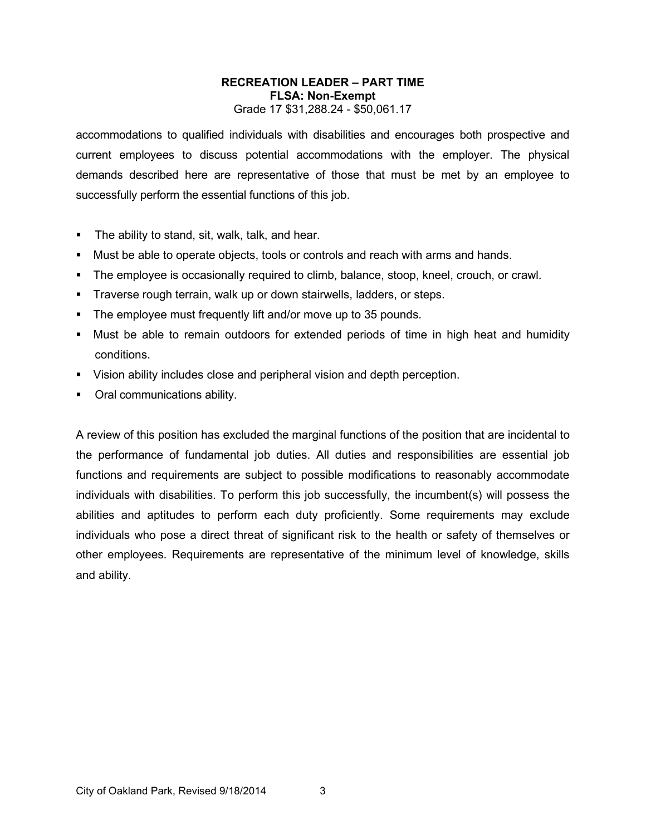accommodations to qualified individuals with disabilities and encourages both prospective and current employees to discuss potential accommodations with the employer. The physical demands described here are representative of those that must be met by an employee to successfully perform the essential functions of this job.

- The ability to stand, sit, walk, talk, and hear.
- **Must be able to operate objects, tools or controls and reach with arms and hands.**
- The employee is occasionally required to climb, balance, stoop, kneel, crouch, or crawl.
- **Traverse rough terrain, walk up or down stairwells, ladders, or steps.**
- **The employee must frequently lift and/or move up to 35 pounds.**
- Must be able to remain outdoors for extended periods of time in high heat and humidity conditions.
- Vision ability includes close and peripheral vision and depth perception.
- Oral communications ability.

A review of this position has excluded the marginal functions of the position that are incidental to the performance of fundamental job duties. All duties and responsibilities are essential job functions and requirements are subject to possible modifications to reasonably accommodate individuals with disabilities. To perform this job successfully, the incumbent(s) will possess the abilities and aptitudes to perform each duty proficiently. Some requirements may exclude individuals who pose a direct threat of significant risk to the health or safety of themselves or other employees. Requirements are representative of the minimum level of knowledge, skills and ability.